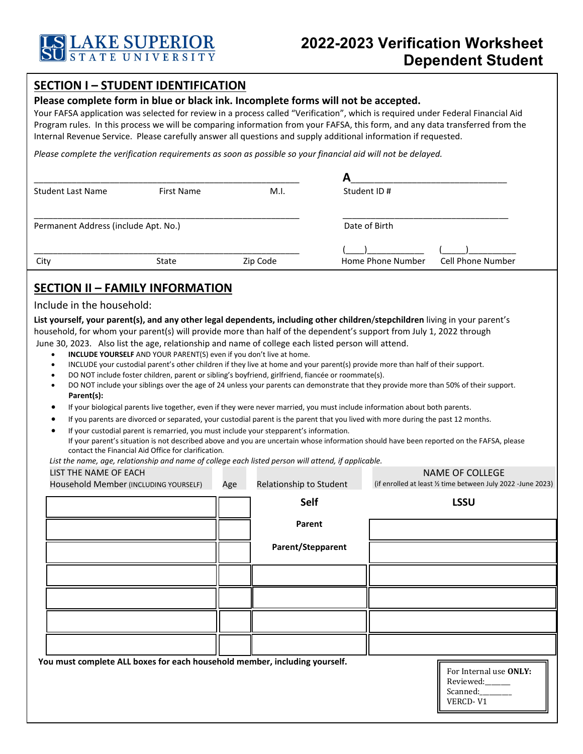

## **SECTION I – STUDENT IDENTIFICATION**

## **Please complete form in blue or black ink. Incomplete forms will not be accepted.**

Your FAFSA application was selected for review in a process called "Verification", which is required under Federal Financial Aid Program rules. In this process we will be comparing information from your FAFSA, this form, and any data transferred from the Internal Revenue Service. Please carefully answer all questions and supply additional information if requested.

*Please complete the verification requirements as soon as possible so your financial aid will not be delayed.* 

| <b>Student Last Name</b>                                                                                                                                                                                                                                                                                                                                         | <b>First Name</b>                                                                                                                                                                                                                                                                                                                                                                                                                                                                                                                                                                                                                                                                                                                 |     | M.I.                    | Student ID #  |                   |                                                                                                                                                                                                                                                                                   |  |  |
|------------------------------------------------------------------------------------------------------------------------------------------------------------------------------------------------------------------------------------------------------------------------------------------------------------------------------------------------------------------|-----------------------------------------------------------------------------------------------------------------------------------------------------------------------------------------------------------------------------------------------------------------------------------------------------------------------------------------------------------------------------------------------------------------------------------------------------------------------------------------------------------------------------------------------------------------------------------------------------------------------------------------------------------------------------------------------------------------------------------|-----|-------------------------|---------------|-------------------|-----------------------------------------------------------------------------------------------------------------------------------------------------------------------------------------------------------------------------------------------------------------------------------|--|--|
| Permanent Address (include Apt. No.)                                                                                                                                                                                                                                                                                                                             |                                                                                                                                                                                                                                                                                                                                                                                                                                                                                                                                                                                                                                                                                                                                   |     |                         | Date of Birth |                   |                                                                                                                                                                                                                                                                                   |  |  |
| City<br>State                                                                                                                                                                                                                                                                                                                                                    |                                                                                                                                                                                                                                                                                                                                                                                                                                                                                                                                                                                                                                                                                                                                   |     | Zip Code                |               | Home Phone Number | <b>Cell Phone Number</b>                                                                                                                                                                                                                                                          |  |  |
|                                                                                                                                                                                                                                                                                                                                                                  |                                                                                                                                                                                                                                                                                                                                                                                                                                                                                                                                                                                                                                                                                                                                   |     |                         |               |                   |                                                                                                                                                                                                                                                                                   |  |  |
| <b>SECTION II - FAMILY INFORMATION</b><br>Include in the household:                                                                                                                                                                                                                                                                                              |                                                                                                                                                                                                                                                                                                                                                                                                                                                                                                                                                                                                                                                                                                                                   |     |                         |               |                   |                                                                                                                                                                                                                                                                                   |  |  |
| household, for whom your parent(s) will provide more than half of the dependent's support from July 1, 2022 through<br>June 30, 2023. Also list the age, relationship and name of college each listed person will attend.<br>٠<br>$\bullet$<br>Parent(s):<br>List the name, age, relationship and name of college each listed person will attend, if applicable. | INCLUDE YOURSELF AND YOUR PARENT(S) even if you don't live at home.<br>INCLUDE your custodial parent's other children if they live at home and your parent(s) provide more than half of their support.<br>DO NOT include foster children, parent or sibling's boyfriend, girlfriend, fiancée or roommate(s).<br>If your biological parents live together, even if they were never married, you must include information about both parents.<br>If you parents are divorced or separated, your custodial parent is the parent that you lived with more during the past 12 months.<br>If your custodial parent is remarried, you must include your stepparent's information.<br>contact the Financial Aid Office for clarification. |     |                         |               |                   | DO NOT include your siblings over the age of 24 unless your parents can demonstrate that they provide more than 50% of their support.<br>If your parent's situation is not described above and you are uncertain whose information should have been reported on the FAFSA, please |  |  |
| LIST THE NAME OF EACH                                                                                                                                                                                                                                                                                                                                            |                                                                                                                                                                                                                                                                                                                                                                                                                                                                                                                                                                                                                                                                                                                                   |     |                         |               |                   | <b>NAME OF COLLEGE</b>                                                                                                                                                                                                                                                            |  |  |
| Household Member (INCLUDING YOURSELF)                                                                                                                                                                                                                                                                                                                            |                                                                                                                                                                                                                                                                                                                                                                                                                                                                                                                                                                                                                                                                                                                                   | Age | Relationship to Student |               |                   | (if enrolled at least 1/2 time between July 2022 - June 2023)                                                                                                                                                                                                                     |  |  |
|                                                                                                                                                                                                                                                                                                                                                                  |                                                                                                                                                                                                                                                                                                                                                                                                                                                                                                                                                                                                                                                                                                                                   |     | <b>Self</b>             |               | <b>LSSU</b>       |                                                                                                                                                                                                                                                                                   |  |  |
|                                                                                                                                                                                                                                                                                                                                                                  |                                                                                                                                                                                                                                                                                                                                                                                                                                                                                                                                                                                                                                                                                                                                   |     | Parent                  |               |                   |                                                                                                                                                                                                                                                                                   |  |  |
|                                                                                                                                                                                                                                                                                                                                                                  |                                                                                                                                                                                                                                                                                                                                                                                                                                                                                                                                                                                                                                                                                                                                   |     | Parent/Stepparent       |               |                   |                                                                                                                                                                                                                                                                                   |  |  |
|                                                                                                                                                                                                                                                                                                                                                                  |                                                                                                                                                                                                                                                                                                                                                                                                                                                                                                                                                                                                                                                                                                                                   |     |                         |               |                   |                                                                                                                                                                                                                                                                                   |  |  |
|                                                                                                                                                                                                                                                                                                                                                                  |                                                                                                                                                                                                                                                                                                                                                                                                                                                                                                                                                                                                                                                                                                                                   |     |                         |               |                   |                                                                                                                                                                                                                                                                                   |  |  |
|                                                                                                                                                                                                                                                                                                                                                                  |                                                                                                                                                                                                                                                                                                                                                                                                                                                                                                                                                                                                                                                                                                                                   |     |                         |               |                   |                                                                                                                                                                                                                                                                                   |  |  |
|                                                                                                                                                                                                                                                                                                                                                                  |                                                                                                                                                                                                                                                                                                                                                                                                                                                                                                                                                                                                                                                                                                                                   |     |                         |               |                   |                                                                                                                                                                                                                                                                                   |  |  |
| You must complete ALL boxes for each household member, including yourself.                                                                                                                                                                                                                                                                                       |                                                                                                                                                                                                                                                                                                                                                                                                                                                                                                                                                                                                                                                                                                                                   |     |                         |               |                   | For Internal use ONLY:<br>Reviewed:<br>Scanned:<br>VERCD-V1                                                                                                                                                                                                                       |  |  |